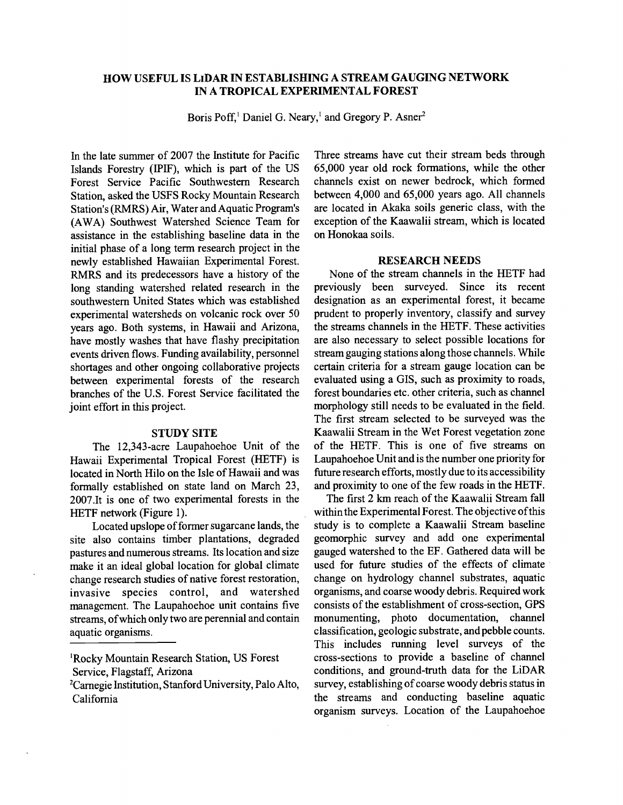# HOW USEFUL IS LIDAR IN ESTABLISHING A STREAM GAUGING NETWORK IN A TROPICAL EXPERIMENTAL FOREST

Boris Poff,<sup>1</sup> Daniel G. Neary,<sup>1</sup> and Gregory P. Asner<sup>2</sup>

In the late summer of 2007 the Institute for Pacific Islands Forestry (IPIF), which is part of the US Forest Service Pacific Southwestern Research Station, asked the USFS Rocky Mountain Research Station's (RMRS) Air, Water and Aquatic Program's (AWA) Southwest Watershed Science Team for assistance in the establishing baseline data in the initial phase of a long term research project in the newly established Hawaiian Experimental Forest. RMRS and its predecessors have a history of the long standing watershed related research in the southwestern United States which was established experimental watersheds on volcanic rock over 50 years ago. Both systems, in Hawaii and Arizona, have mostly washes that have flashy precipitation events driven flows. Funding availability, personnel shortages and other ongoing collaborative projects between experimental forests of the research branches of the U.S. Forest Service facilitated the joint effort in this project.

## STUDY SITE

The 12,343 -acre Laupahoehoe Unit of the Hawaii Experimental Tropical Forest (HETF) is located in North Hilo on the Isle of Hawaii and was formally established on state land on March 23, 2007.It is one of two experimental forests in the HETF network (Figure 1).

Located upslope of former sugarcane lands, the site also contains timber plantations, degraded pastures and numerous streams. Its location and size make it an ideal global location for global climate change research studies of native forest restoration, invasive species control, and watershed management. The Laupahoehoe unit contains five streams, of which only two are perennial and contain aquatic organisms.

'Rocky Mountain Research Station, US Forest Service, Flagstaff, Arizona

Three streams have cut their stream beds through 65,000 year old rock formations, while the other channels exist on newer bedrock, which formed between 4,000 and 65,000 years ago. All channels are located in Akaka soils generic class, with the exception of the Kaawalii stream, which is located on Honokaa soils.

#### RESEARCH NEEDS

None of the stream channels in the HETF had previously been surveyed. Since its recent designation as an experimental forest, it became prudent to properly inventory, classify and survey the streams channels in the HETF. These activities are also necessary to select possible locations for stream gauging stations along those channels. While certain criteria for a stream gauge location can be evaluated using a GIS, such as proximity to roads, forest boundaries etc. other criteria, such as channel morphology still needs to be evaluated in the field. The first stream selected to be surveyed was the Kaawalii Stream in the Wet Forest vegetation zone of the HETF. This is one of five streams on Laupahoehoe Unit and is the number one priority for future research efforts, mostly due to its accessibility and proximity to one of the few roads in the HETF.

The first 2 km reach of the Kaawalii Stream fall within the Experimental Forest. The objective of this study is to complete a Kaawalii Stream baseline geomorphic survey and add one experimental gauged watershed to the EF. Gathered data will be used for future studies of the effects of climate change on hydrology channel substrates, aquatic organisms, and coarse woody debris. Required work consists of the establishment of cross -section, GPS monumenting, photo documentation, channel classification, geologic substrate, and pebble counts. This includes running level surveys of the cross -sections to provide a baseline of channel conditions, and ground -truth data for the LiDAR survey, establishing of coarse woody debris status in the streams and conducting baseline aquatic organism surveys. Location of the Laupahoehoe

<sup>&#</sup>x27;Carnegie Institution, Stanford University, Palo Alto, California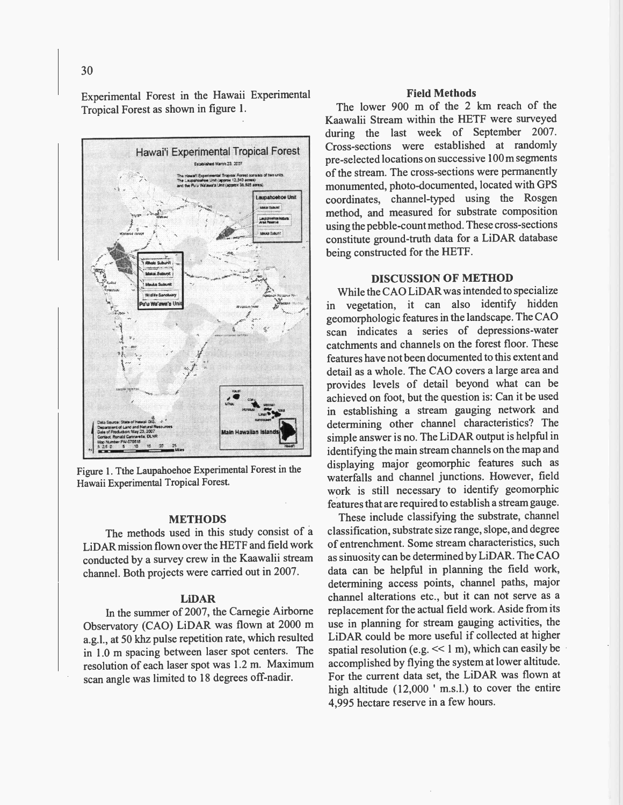Experimental Forest in the Hawaii Experimental Tropical Forest as shown in figure 1.



Figure 1. Tthe Laupahoehoe Experimental Forest in the Hawaii Experimental Tropical Forest.

## **METHODS**

The methods used in this study consist of a LiDAR mission flown over the HETF and field work conducted by a survey crew in the Kaawalii stream channel. Both projects were carried out in 2007.

## **LiDAR**

In the summer of 2007, the Carnegie Airborne Observatory (CAO) LiDAR was flown at 2000 m a.g.l., at 50 khz pulse repetition rate, which resulted in 1.0 m spacing between laser spot centers. The resolution of each laser spot was 1.2 m. Maximum scan angle was limited to 18 degrees off-nadir.

#### **Field Methods**

The lower 900 m of the 2 km reach of the Kaawalii Stream within the HETF were surveyed during the last week of September 2007. Cross-sections were established at randomly pre-selected locations on successive 100 m segments of the stream. The cross-sections were permanently monumented, photo-documented, located with GPS coordinates, channel-typed using the Rosgen method, and measured for substrate composition using the pebble-count method. These cross-sections constitute ground-truth data for a LiDAR database being constructed for the HETF.

### **DISCUSSION OF METHOD**

While the CAO LiDAR was intended to specialize in vegetation, it can also identify hidden geomorphologic features in the landscape. The CAO scan indicates a series of depressions-water catchments and channels on the forest floor. These features have not been documented to this extent and detail as a whole. The CAO covers a large area and provides levels of detail beyond what can be achieved on foot, but the question is: Can it be used in establishing a stream gauging network and determining other channel characteristics? The simple answer is no. The LiDAR output is helpful in identifying the main stream channels on the map and displaying major geomorphic features such as waterfalls and channel junctions. However, field work is still necessary to identify geomorphic features that are required to establish a stream gauge.

These include classifying the substrate, channel classification, substrate size range, slope, and degree of entrenchment. Some stream characteristics, such as sinuosity can be determined by LiDAR. The CAO data can be helpful in planning the field work, determining access points, channel paths, major channel alterations etc., but it can not serve as a replacement for the actual field work. Aside from its use in planning for stream gauging activities, the LiDAR could be more useful if collected at higher spatial resolution (e.g.  $<< 1$  m), which can easily be accomplished by flying the system at lower altitude. For the current data set, the LiDAR was flown at high altitude (12,000 ' m.s.l.) to cover the entire 4.995 hectare reserve in a few hours.